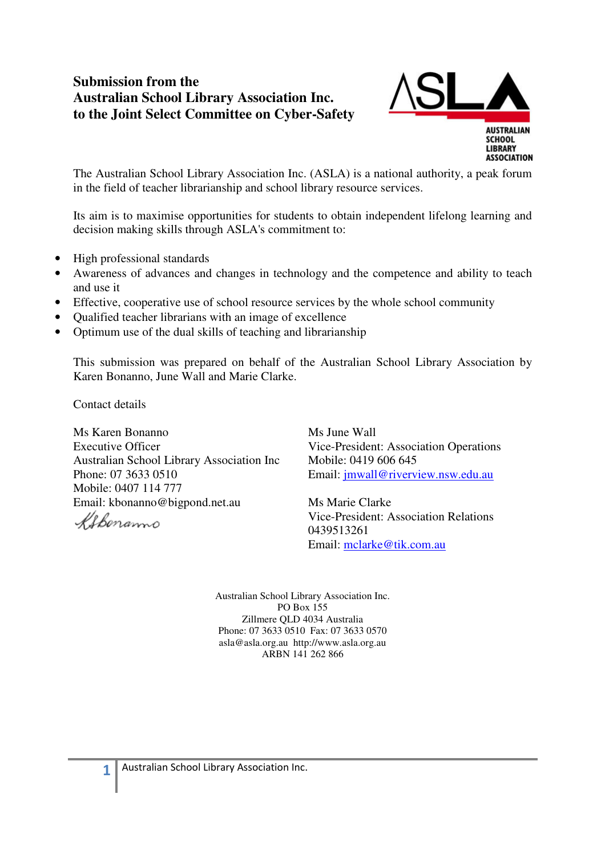# **Submission from the Australian School Library Association Inc. to the Joint Select Committee on Cyber-Safety**



The Australian School Library Association Inc. (ASLA) is a national authority, a peak forum in the field of teacher librarianship and school library resource services.

Its aim is to maximise opportunities for students to obtain independent lifelong learning and decision making skills through ASLA's commitment to:

- High professional standards
- Awareness of advances and changes in technology and the competence and ability to teach and use it
- Effective, cooperative use of school resource services by the whole school community
- Qualified teacher librarians with an image of excellence
- Optimum use of the dual skills of teaching and librarianship

This submission was prepared on behalf of the Australian School Library Association by Karen Bonanno, June Wall and Marie Clarke.

Contact details

Ms Karen Bonanno Executive Officer Australian School Library Association Inc Phone: 07 3633 0510 Mobile: 0407 114 777 Email: kbonanno@bigpond.net.au

Ms June Wall Vice-President: Association Operations Mobile: 0419 606 645 Email: jmwall@riverview.nsw.edu.au

Ms Marie Clarke Vice-President: Association Relations 0439513261 Email: mclarke@tik.com.au

Australian School Library Association Inc. PO Box 155 Zillmere QLD 4034 Australia Phone: 07 3633 0510 Fax: 07 3633 0570 asla@asla.org.au http://www.asla.org.au ARBN 141 262 866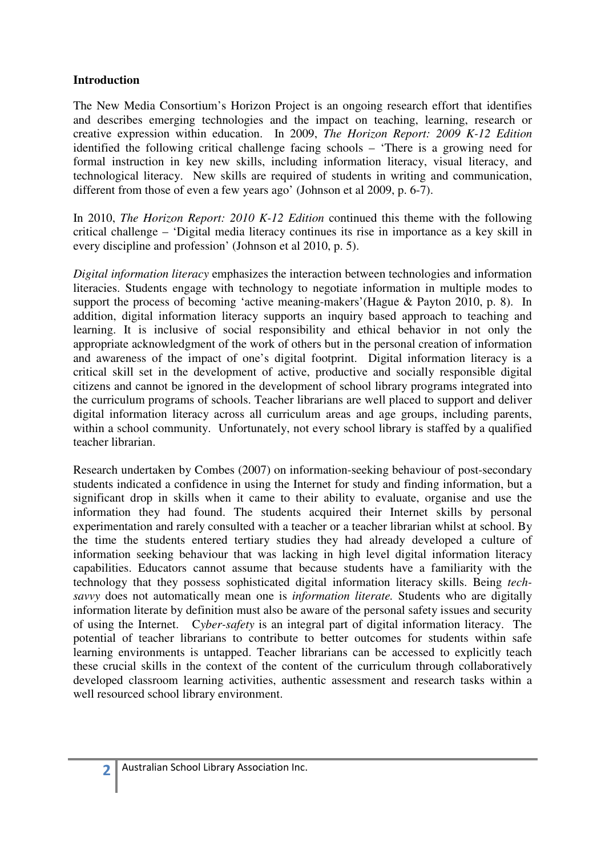### **Introduction**

The New Media Consortium's Horizon Project is an ongoing research effort that identifies and describes emerging technologies and the impact on teaching, learning, research or creative expression within education. In 2009, *The Horizon Report: 2009 K-12 Edition* identified the following critical challenge facing schools – 'There is a growing need for formal instruction in key new skills, including information literacy, visual literacy, and technological literacy. New skills are required of students in writing and communication, different from those of even a few years ago' (Johnson et al 2009, p. 6-7).

In 2010, *The Horizon Report: 2010 K-12 Edition* continued this theme with the following critical challenge – 'Digital media literacy continues its rise in importance as a key skill in every discipline and profession' (Johnson et al 2010, p. 5).

*Digital information literacy* emphasizes the interaction between technologies and information literacies. Students engage with technology to negotiate information in multiple modes to support the process of becoming 'active meaning-makers'(Hague & Payton 2010, p. 8). In addition, digital information literacy supports an inquiry based approach to teaching and learning. It is inclusive of social responsibility and ethical behavior in not only the appropriate acknowledgment of the work of others but in the personal creation of information and awareness of the impact of one's digital footprint. Digital information literacy is a critical skill set in the development of active, productive and socially responsible digital citizens and cannot be ignored in the development of school library programs integrated into the curriculum programs of schools. Teacher librarians are well placed to support and deliver digital information literacy across all curriculum areas and age groups, including parents, within a school community. Unfortunately, not every school library is staffed by a qualified teacher librarian.

Research undertaken by Combes (2007) on information-seeking behaviour of post-secondary students indicated a confidence in using the Internet for study and finding information, but a significant drop in skills when it came to their ability to evaluate, organise and use the information they had found. The students acquired their Internet skills by personal experimentation and rarely consulted with a teacher or a teacher librarian whilst at school. By the time the students entered tertiary studies they had already developed a culture of information seeking behaviour that was lacking in high level digital information literacy capabilities. Educators cannot assume that because students have a familiarity with the technology that they possess sophisticated digital information literacy skills. Being *techsavvy* does not automatically mean one is *information literate.* Students who are digitally information literate by definition must also be aware of the personal safety issues and security of using the Internet. C*yber-safety* is an integral part of digital information literacy. The potential of teacher librarians to contribute to better outcomes for students within safe learning environments is untapped. Teacher librarians can be accessed to explicitly teach these crucial skills in the context of the content of the curriculum through collaboratively developed classroom learning activities, authentic assessment and research tasks within a well resourced school library environment.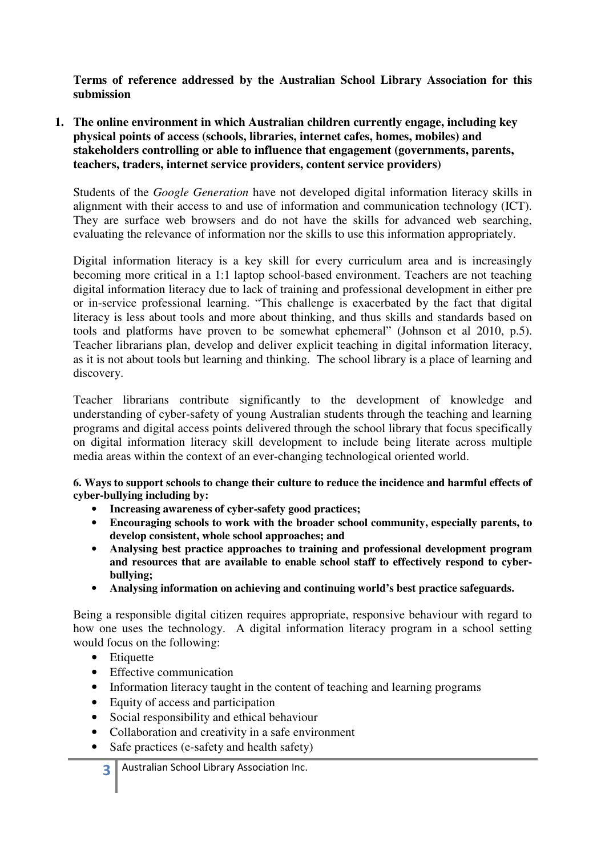**Terms of reference addressed by the Australian School Library Association for this submission** 

**1. The online environment in which Australian children currently engage, including key physical points of access (schools, libraries, internet cafes, homes, mobiles) and stakeholders controlling or able to influence that engagement (governments, parents, teachers, traders, internet service providers, content service providers)** 

Students of the *Google Generation* have not developed digital information literacy skills in alignment with their access to and use of information and communication technology (ICT). They are surface web browsers and do not have the skills for advanced web searching, evaluating the relevance of information nor the skills to use this information appropriately.

Digital information literacy is a key skill for every curriculum area and is increasingly becoming more critical in a 1:1 laptop school-based environment. Teachers are not teaching digital information literacy due to lack of training and professional development in either pre or in-service professional learning. "This challenge is exacerbated by the fact that digital literacy is less about tools and more about thinking, and thus skills and standards based on tools and platforms have proven to be somewhat ephemeral" (Johnson et al 2010, p.5). Teacher librarians plan, develop and deliver explicit teaching in digital information literacy, as it is not about tools but learning and thinking. The school library is a place of learning and discovery.

Teacher librarians contribute significantly to the development of knowledge and understanding of cyber-safety of young Australian students through the teaching and learning programs and digital access points delivered through the school library that focus specifically on digital information literacy skill development to include being literate across multiple media areas within the context of an ever-changing technological oriented world.

#### **6. Ways to support schools to change their culture to reduce the incidence and harmful effects of cyber-bullying including by:**

- **Increasing awareness of cyber-safety good practices;**
- **Encouraging schools to work with the broader school community, especially parents, to develop consistent, whole school approaches; and**
- **Analysing best practice approaches to training and professional development program and resources that are available to enable school staff to effectively respond to cyberbullying;**
- **Analysing information on achieving and continuing world's best practice safeguards.**

Being a responsible digital citizen requires appropriate, responsive behaviour with regard to how one uses the technology. A digital information literacy program in a school setting would focus on the following:

- Etiquette
- Effective communication
- Information literacy taught in the content of teaching and learning programs
- Equity of access and participation
- Social responsibility and ethical behaviour
- Collaboration and creativity in a safe environment
- Safe practices (e-safety and health safety)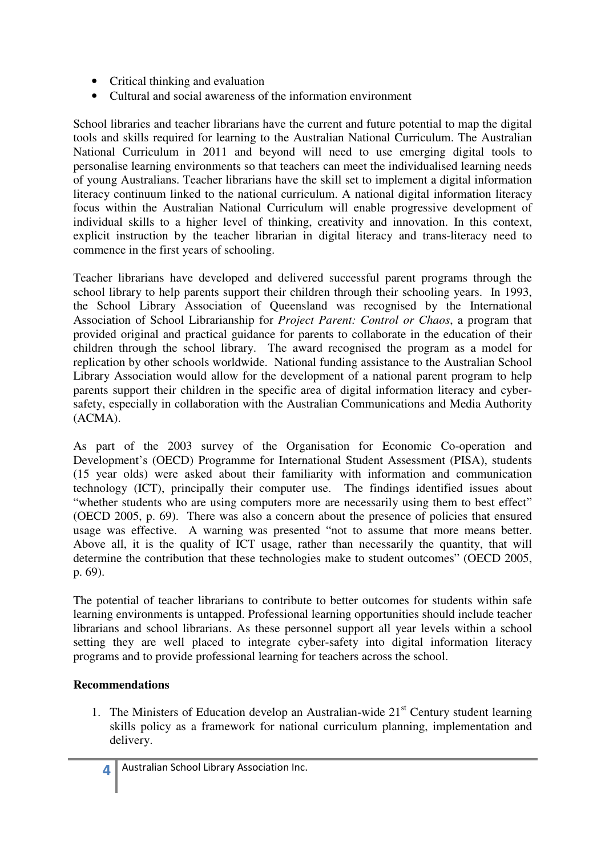- Critical thinking and evaluation
- Cultural and social awareness of the information environment

School libraries and teacher librarians have the current and future potential to map the digital tools and skills required for learning to the Australian National Curriculum. The Australian National Curriculum in 2011 and beyond will need to use emerging digital tools to personalise learning environments so that teachers can meet the individualised learning needs of young Australians. Teacher librarians have the skill set to implement a digital information literacy continuum linked to the national curriculum. A national digital information literacy focus within the Australian National Curriculum will enable progressive development of individual skills to a higher level of thinking, creativity and innovation. In this context, explicit instruction by the teacher librarian in digital literacy and trans-literacy need to commence in the first years of schooling.

Teacher librarians have developed and delivered successful parent programs through the school library to help parents support their children through their schooling years. In 1993, the School Library Association of Queensland was recognised by the International Association of School Librarianship for *Project Parent: Control or Chaos*, a program that provided original and practical guidance for parents to collaborate in the education of their children through the school library. The award recognised the program as a model for replication by other schools worldwide. National funding assistance to the Australian School Library Association would allow for the development of a national parent program to help parents support their children in the specific area of digital information literacy and cybersafety, especially in collaboration with the Australian Communications and Media Authority (ACMA).

As part of the 2003 survey of the Organisation for Economic Co-operation and Development's (OECD) Programme for International Student Assessment (PISA), students (15 year olds) were asked about their familiarity with information and communication technology (ICT), principally their computer use. The findings identified issues about "whether students who are using computers more are necessarily using them to best effect" (OECD 2005, p. 69). There was also a concern about the presence of policies that ensured usage was effective. A warning was presented "not to assume that more means better. Above all, it is the quality of ICT usage, rather than necessarily the quantity, that will determine the contribution that these technologies make to student outcomes" (OECD 2005, p. 69).

The potential of teacher librarians to contribute to better outcomes for students within safe learning environments is untapped. Professional learning opportunities should include teacher librarians and school librarians. As these personnel support all year levels within a school setting they are well placed to integrate cyber-safety into digital information literacy programs and to provide professional learning for teachers across the school.

## **Recommendations**

1. The Ministers of Education develop an Australian-wide  $21<sup>st</sup>$  Century student learning skills policy as a framework for national curriculum planning, implementation and delivery.